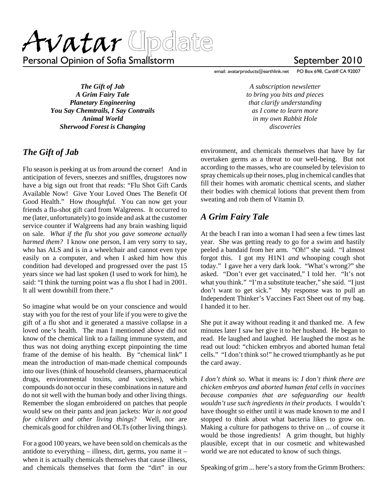Avatar Update

Personal Opinion of Sofia Smallstorm New September 2010

*The Gift of Jab A Grim Fairy Tale Planetary Engineering You Say Chemtrails, I Say Contrails Animal World Sherwood Forest is Changing*

## *The Gift of Jab*

Flu season is peeking at us from around the corner! And in anticipation of fevers, sneezes and sniffles, drugstores now have a big sign out front that reads: "Flu Shot Gift Cards Available Now! Give Your Loved Ones The Benefit Of Good Health." How *thoughtful.* You can now get your friends a flu-shot gift card from Walgreens. It occurred to me (later, unfortunately) to go inside and ask at the customer service counter if Walgreens had any brain washing liquid on sale. *What if the flu shot you gave someone actually harmed them?* I know one person, I am very sorry to say, who has ALS and is in a wheelchair and cannot even type easily on a computer, and when I asked him how this condition had developed and progressed over the past 15 years since we had last spoken (I used to work for him), he said: "I think the turning point was a flu shot I had in 2001. It all went downhill from there."

So imagine what would be on your conscience and would stay with you for the rest of your life if you were to give the gift of a flu shot and it generated a massive collapse in a loved one's health. The man I mentioned above did not know of the chemical link to a failing immune system, and thus was not doing anything except pinpointing the time frame of the demise of his health. By "chemical link" I mean the introduction of man-made chemical compounds into our lives (think of household cleansers, pharmaceutical drugs, environmental toxins, *and* vaccines), which compounds do not occur in these combinations in nature and do not sit well with the human body and other living things. Remember the slogan embroidered on patches that people would sew on their pants and jean jackets: *War is not good for children and other living things*? Well, nor are chemicals good for children and OLTs (other living things).

For a good 100 years, we have been sold on chemicals as the antidote to everything – illness, dirt, germs, you name it – when it is actually chemicals themselves that cause illness, and chemicals themselves that form the "dirt" in our

email: avatarproducts@earthlink.net PO Box 698, Cardiff CA 92007

*A subscription newsletter to bring you bits and pieces that clarify understanding as I come to learn more in my own Rabbit Hole discoveries*

environment, and chemicals themselves that have by far overtaken germs as a threat to our well-being. But not according to the masses, who are counseled by television to spray chemicals up their noses, plug in chemical candles that fill their homes with aromatic chemical scents, and slather their bodies with chemical lotions that prevent them from sweating and rob them of Vitamin D.

## *A Grim Fairy Tale*

At the beach I ran into a woman I had seen a few times last year. She was getting ready to go for a swim and hastily peeled a bandaid from her arm. "Oh!" she said. "I almost forgot this. I got my H1N1 *and* whooping cough shot today." I gave her a very dark look. "What's wrong?" she asked. "Don't ever get vaccinated," I told her. "It's not what you think." "I'm a substitute teacher," she said. "I just don't want to get sick." My response was to pull an Independent Thinker's Vaccines Fact Sheet out of my bag. I handed it to her.

She put it away without reading it and thanked me. A few minutes later I saw her give it to her husband. He began to read. He laughed and laughed. He laughed the most as he read out loud: "chicken embryos and aborted human fetal cells." "I don't think so!" he crowed triumphantly as he put the card away.

*I don't think so.* What it means is: *I don't think there are chicken embryos and aborted human fetal cells in vaccines because companies that are safeguarding our health wouldn't use such ingredients in their products.* I wouldn't have thought so either until it was made known to me and I stopped to think about what bacteria likes to grow on. Making a culture for pathogens to thrive on ... of course it would be those ingredients! A grim thought, but highly plausible, except that in our cosmetic and whitewashed world we are not educated to know of such things.

Speaking of grim ... here's a story from the Grimm Brothers: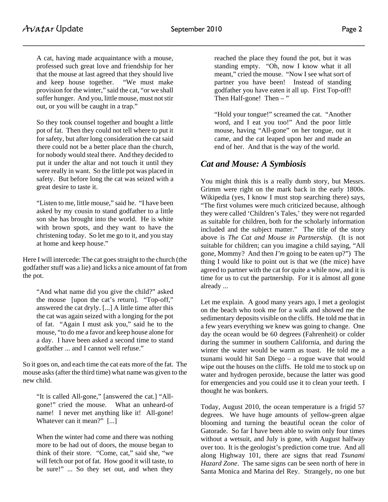A cat, having made acquaintance with a mouse, professed such great love and friendship for her that the mouse at last agreed that they should live and keep house together. "We must make provision for the winter," said the cat, "or we shall suffer hunger. And you, little mouse, must not stir out, or you will be caught in a trap."

So they took counsel together and bought a little pot of fat. Then they could not tell where to put it for safety, but after long consideration the cat said there could not be a better place than the church, for nobody would steal there. And they decided to put it under the altar and not touch it until they were really in want. So the little pot was placed in safety. But before long the cat was seized with a great desire to taste it.

"Listen to me, little mouse," said he. "I have been asked by my cousin to stand godfather to a little son she has brought into the world. He is white with brown spots, and they want to have the christening today. So let me go to it, and you stay at home and keep house."

Here I will intercede: The cat goes straight to the church (the godfather stuff was a lie) and licks a nice amount of fat from the pot.

"And what name did you give the child?" asked the mouse [upon the cat's return]. "Top-off," answered the cat dryly. [...] A little time after this the cat was again seized with a longing for the pot of fat. "Again I must ask you," said he to the mouse, "to do me a favor and keep house alone for a day. I have been asked a second time to stand godfather ... and I cannot well refuse."

So it goes on, and each time the cat eats more of the fat. The mouse asks (after the third time) what name was given to the new child.

"It is called All-gone," [answered the cat.] "Allgone!" cried the mouse. What an unheard-of name! I never met anything like it! All-gone! Whatever can it mean?" [...]

When the winter had come and there was nothing more to be had out of doors, the mouse began to think of their store. "Come, cat," said she, "we will fetch our pot of fat. How good it will taste, to be sure!" ... So they set out, and when they reached the place they found the pot, but it was standing empty. "Oh, now I know what it all meant," cried the mouse. "Now I see what sort of partner you have been! Instead of standing godfather you have eaten it all up. First Top-off! Then Half-gone! Then  $-$ "

"Hold your tongue!" screamed the cat. "Another word, and I eat you too!" And the poor little mouse, having "All-gone" on her tongue, out it came, and the cat leaped upon her and made an end of her. And that is the way of the world.

## *Cat and Mouse: A Symbiosis*

You might think this is a really dumb story, but Messrs. Grimm were right on the mark back in the early 1800s. Wikipedia (yes, I know I must stop searching there) says, "The first volumes were much criticized because, although they were called 'Children's Tales,' they were not regarded as suitable for children, both for the scholarly information included and the subject matter." The title of the story above is *The Cat and Mouse in Partnership.* (It is not suitable for children; can you imagine a child saying, "All gone, Mommy? And then *I'm* going to be eaten up?") The thing I would like to point out is that we (the mice) have agreed to partner with the cat for quite a while now, and it is time for us to cut the partnership. For it is almost all gone already ...

Let me explain. A good many years ago, I met a geologist on the beach who took me for a walk and showed me the sedimentary deposits visible on the cliffs. He told me that in a few years everything we knew was going to change. One day the ocean would be 60 degrees (Fahrenheit) or colder during the summer in southern California, and during the winter the water would be warm as toast. He told me a tsunami would hit San Diego – a rogue wave that would wipe out the houses on the cliffs. He told me to stock up on water and hydrogen peroxide, because the latter was good for emergencies and you could use it to clean your teeth. I thought he was bonkers.

Today, August 2010, the ocean temperature is a frigid 57 degrees. We have huge amounts of yellow-green algae blooming and turning the beautiful ocean the color of Gatorade. So far I have been able to swim only four times without a wetsuit, and July is gone, with August halfway over too. It is the geologist's prediction come true. And all along Highway 101, there are signs that read *Tsunami Hazard Zone*. The same signs can be seen north of here in Santa Monica and Marina del Rey. Strangely, no one but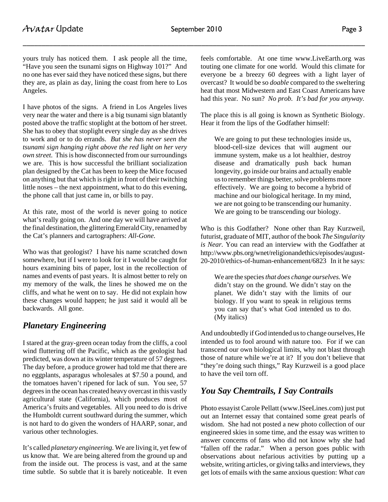yours truly has noticed them. I ask people all the time, "Have you seen the tsunami signs on Highway 101?" And no one has ever said they have noticed these signs, but there they are, as plain as day, lining the coast from here to Los Angeles.

I have photos of the signs. A friend in Los Angeles lives very near the water and there is a big tsunami sign blatantly posted above the traffic stoplight at the bottom of her street. She has to obey that stoplight every single day as she drives to work and or to do errands. *But she has never seen the tsunami sign hanging right above the red light on her very own street.* This is how disconnected from our surroundings we are. This is how successful the brilliant socialization plan designed by the Cat has been to keep the Mice focused on anything but that which is right in front of their twitching little noses – the next appointment, what to do this evening, the phone call that just came in, or bills to pay.

At this rate, most of the world is never going to notice what's really going on. And one day we will have arrived at the final destination, the glittering Emerald City, renamed by the Cat's planners and cartographers: *All-Gone.*

Who was that geologist? I have his name scratched down somewhere, but if I were to look for it I would be caught for hours examining bits of paper, lost in the recollection of names and events of past years. It is almost better to rely on my memory of the walk, the lines he showed me on the cliffs, and what he went on to say. He did not explain how these changes would happen; he just said it would all be backwards. All gone.

# *Planetary Engineering*

I stared at the gray-green ocean today from the cliffs, a cool wind fluttering off the Pacific, which as the geologist had predicted, was down at its winter temperature of 57 degrees. The day before, a produce grower had told me that there are no eggplants, asparagus wholesales at \$7.50 a pound, and the tomatoes haven't ripened for lack of sun. You see, 57 degrees in the ocean has created heavy overcast in this vastly agricultural state (California), which produces most of America's fruits and vegetables. All you need to do is drive the Humboldt current southward during the summer, which is not hard to do given the wonders of HAARP, sonar, and various other technologies.

It's called *planetary engineering.* We are living it, yet few of us know that. We are being altered from the ground up and from the inside out. The process is vast, and at the same time subtle. So subtle that it is barely noticeable. It even

feels comfortable. At one time www.LiveEarth.org was touting one climate for one world. Would this climate for everyone be a breezy 60 degrees with a light layer of overcast? It would be so *doable* compared to the sweltering heat that most Midwestern and East Coast Americans have had this year. No sun? *No prob. It's bad for you anyway.*

The place this is all going is known as Synthetic Biology. Hear it from the lips of the Godfather himself:

We are going to put these technologies inside us, blood-cell-size devices that will augment our immune system, make us a lot healthier, destroy disease and dramatically push back human longevity, go inside our brains and actually enable us to remember things better, solve problems more effectively. We are going to become a hybrid of machine and our biological heritage. In my mind, we are not going to be transcending our humanity. We are going to be transcending our biology.

Who is this Godfather? None other than Ray Kurzweil, futurist, graduate of MIT, author of the book *The Singularity is Near.* You can read an interview with the Godfather at http://www.pbs.org/wnet/religionandethics/episodes/august-20-2010/ethics-of-human-enhancement/6823 In it he says:

We are the species *that does change ourselves.* We didn't stay on the ground. We didn't stay on the planet. We didn't stay with the limits of our biology. If you want to speak in religious terms you can say that's what God intended us to do. (My italics)

And undoubtedly if God intended us to change ourselves, He intended us to fool around with nature too. For if we can transcend our own biological limits, why not blast through those of nature while we're at it? If you don't believe that "they're doing such things," Ray Kurzweil is a good place to have the veil torn off.

# *You Say Chemtrails, I Say Contrails*

Photo essayist Carole Pellatt (www.ISeeLines.com) just put out an Internet essay that contained some great pearls of wisdom. She had not posted a new photo collection of our engineered skies in some time, and the essay was written to answer concerns of fans who did not know why she had "fallen off the radar." When a person goes public with observations about nefarious activities by putting up a website, writing articles, or giving talks and interviews, they get lots of emails with the same anxious question: *What can*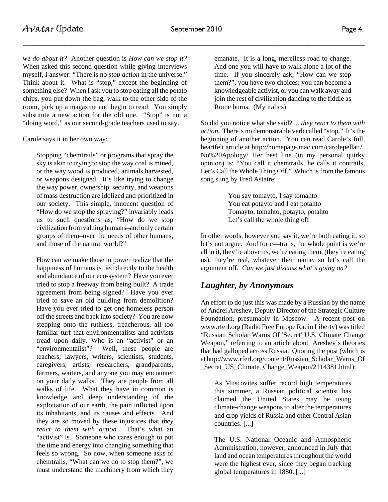*we do about it?* Another question is *How can we stop it?* When asked this second question while giving interviews myself, I answer: "There is no *stop action* in the universe." Think about it. What is "stop," except the beginning of something else? When I ask you to stop eating all the potato chips, you put down the bag, walk to the other side of the room, pick up a magazine and begin to read. You simply substitute a new action for the old one. "Stop" is not a "doing word," as our second-grade teachers used to say.

Carole says it in her own way:

Stopping "chemtrails" or programs that spray the sky is akin to trying to stop the way coal is mined, or the way wood is produced, animals harvested, or weapons designed. It's like trying to change the way power, ownership, security, and weapons of mass destruction are idolized and prioritized in our society. This simple, innocent question of "How do we stop the spraying?" invariably leads us to such questions as, "How do we stop civilization from valuing humans–and only certain groups of them–over the needs of other humans, and those of the natural world?"

How can we make those in power realize that the happiness of humans is tied directly to the health and abundance of our eco-system? Have you ever tried to stop a freeway from being built? A trade agreement from being signed? Have you ever tried to save an old building from demolition? Have you ever tried to get one homeless person off the streets and back into society? You are now stepping onto the ruthless, treacherous, all too familiar turf that environmentalists and activists tread upon daily. Who is an "activist" or an "environmentalist"? Well, these people are teachers, lawyers, writers, scientists, students, caregivers, artists, researchers, grandparents, farmers, waiters, and anyone you may encounter on your daily walks. They are people from all walks of life. What they have in common is knowledge and deep understanding of the exploitation of our earth, the pain inflicted upon its inhabitants, and its causes and effects. And they are so moved by these injustices that *they react to them with action.* That's what an "activist" is. Someone who cares enough to put the time and energy into changing something that feels so wrong. So now, when someone asks of chemtrails, "What can we do to stop them?", we must understand the machinery from which they

emanate. It is a long, merciless road to change. And one you will have to walk alone a lot of the time. If you sincerely ask, "How can we stop them?", you have two choices: you can become a knowledgeable activist, or you can walk away and join the rest of civilization dancing to the fiddle as Rome burns. (My italics)

So did you notice what she said? ... *they react to them with action.* There's no demonstrable verb called "stop." It's the beginning of another action. You can read Carole's full, heartfelt article at http://homepage.mac.com/carolepellatt/ No%20Apology/ Her best line (in my personal quirky opinion) is: "You call it chemtrails, he calls it contrails, Let's Call the Whole Thing Off." Which is from the famous song sung by Fred Astaire:

> You say tomayto, I say tomahto You eat potayto and I eat potahto Tomayto, tomahto, potayto, potahto Let's call the whole thing off

In other words, however you say it, we're both eating it, so let's not argue. And for c—trails, the whole point is we're all in it, they're above us, we're eating them, (they're eating us), they're real, whatever their name, so let's call the argument off. *Can we just discuss what's going on?*

# *Laughter, by Anonymous*

An effort to do just this was made by a Russian by the name of Andrei Areshev, Deputy Director of the Strategic Culture Foundation, presumably in Moscow. A recent post on www.rferl.org (Radio Free Europe Radio Liberty) was titled "Russian Scholar Warns Of 'Secret' U.S. Climate Change Weapon," referring to an article about Areshev's theories that had galloped across Russia. Quoting the post (which is at http://www.rferl.org/content/Russian\_Scholar\_Warns\_Of \_Secret\_US\_Climate\_Change\_Weapon/2114381.html):

As Muscovites suffer record high temperatures this summer, a Russian political scientist has claimed the United States may be using climate-change weapons to alter the temperatures and crop yields of Russia and other Central Asian countries. [...]

The U.S. National Oceanic and Atmospheric Administration, however, announced in July that land and ocean temperatures throughout the world were the highest ever, since they began tracking global temperatures in 1880. [...]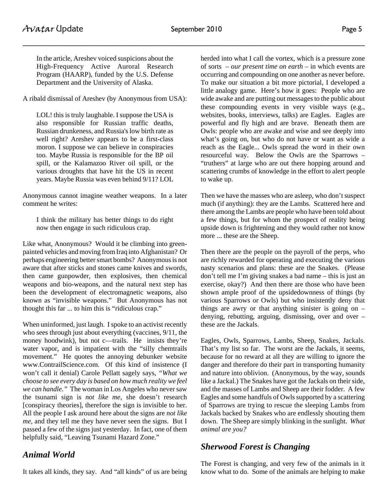In the article, Areshev voiced suspicions about the High-Frequency Active Auroral Research Program (HAARP), funded by the U.S. Defense Department and the University of Alaska.

A ribald dismissal of Areshev (by Anonymous from USA):

LOL! this is truly laughable. I suppose the USA is also responsible for Russian traffic deaths, Russian drunkeness, and Russia's low birth rate as well right? Areshev appears to be a first-class moron. I suppose we can believe in conspiracies too. Maybe Russia is responsible for the BP oil spill, or the Kalamazoo River oil spill, or the various droughts that have hit the US in recent years. Maybe Russia was even behind 9/11? LOL

Anonymous cannot imagine weather weapons. In a later comment he writes:

I think the military has better things to do right now then engage in such ridiculous crap.

Like what, Anonymous? Would it be climbing into greenpainted vehicles and moving from Iraq into Afghanistan? Or perhaps engineering better smart bombs? Anonymous is not aware that after sticks and stones came knives and swords, then came gunpowder, then explosives, then chemical weapons and bio-weapons, and the natural next step has been the development of electromagnetic weapons, also known as "invisible weapons." But Anonymous has not thought this far ... to him this is "ridiculous crap."

When uninformed, just laugh. I spoke to an activist recently who sees through just about everything (vaccines, 9/11, the money hoodwink), but not c—trails. He insists they're water vapor, and is impatient with the "silly chemtrails movement." He quotes the annoying debunker website www.ContrailScience.com. Of this kind of insistence (I won't call it denial) Carole Pellatt sagely says, *"What we choose to see every day is based on how much reality we feel we can handle."* The woman in Los Angeles who never saw the tsunami sign is *not like me,* she doesn't research [conspiracy theories], therefore the sign is invisible to her. All the people I ask around here about the signs are *not like me,* and they tell me they have never seen the signs. But I passed a few of the signs just yesterday. In fact, one of them helpfully said, "Leaving Tsunami Hazard Zone."

# *Animal World*

It takes all kinds, they say. And "all kinds" of us are being

herded into what I call the vortex, which is a pressure zone of sorts – *our present time on earth* – in which events are occurring and compounding on one another as never before. To make our situation a bit more pictorial, I developed a little analogy game. Here's how it goes: People who are wide awake and are putting out messages to the public about these compounding events in very visible ways (e.g., websites, books, interviews, talks) are Eagles. Eagles are powerful and fly high and are brave. Beneath them are Owls: people who are awake and wise and see deeply into what's going on, but who do not have or want as wide a reach as the Eagle... Owls spread the word in their own resourceful way. Below the Owls are the Sparrows – "truthers" at large who are out there hopping around and scattering crumbs of knowledge in the effort to alert people to wake up.

Then we have the masses who are asleep, who don't suspect much (if anything): they are the Lambs. Scattered here and there among the Lambs are people who have been told about a few things, but for whom the prospect of reality being upside down is frightening and they would rather not know more ... these are the Sheep.

Then there are the people on the payroll of the perps, who are richly rewarded for operating and executing the various nasty scenarios and plans: these are the Snakes. (Please don't tell me I'm giving snakes a bad name – this is just an exercise, okay?) And then there are those who have been shown ample proof of the upsidedownness of things (by various Sparrows or Owls) but who insistently deny that things are awry or that anything sinister is going on  $$ denying, rebutting, arguing, dismissing, over and over – these are the Jackals.

Eagles, Owls, Sparrows, Lambs, Sheep, Snakes, Jackals. That's my list so far. The worst are the Jackals, it seems, because for no reward at all they are willing to ignore the danger and therefore do their part in transporting humanity and nature into oblivion. (Anonymous, by the way, sounds like a Jackal.) The Snakes have got the Jackals on their side, and the masses of Lambs and Sheep are their fodder. A few Eagles and some handfuls of Owls supported by a scattering of Sparrows are trying to rescue the sleeping Lambs from Jackals backed by Snakes who are endlessly shouting them down. The Sheep are simply blinking in the sunlight. *What animal are you?*

# *Sherwood Forest is Changing*

The Forest is changing, and very few of the animals in it know what to do. Some of the animals are helping to make